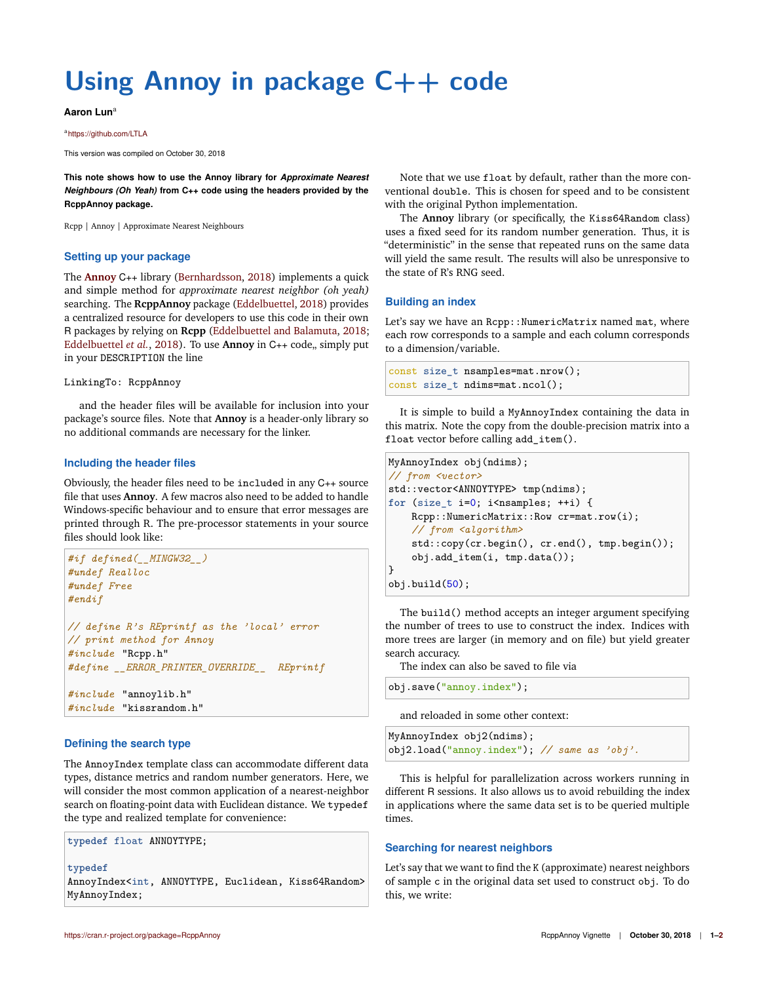# **Using Annoy in package C++ code**

## **Aaron Lun**<sup>a</sup>

a<https://github.com/LTLA>

This version was compiled on October 30, 2018

**This note shows how to use the Annoy library for** *Approximate Nearest Neighbours (Oh Yeah)* **from C++ code using the headers provided by the RcppAnnoy package.**

Rcpp | Annoy | Approximate Nearest Neighbours

## **Setting up your package**

The **[Annoy](https://github.com/spotify/annoy)** C++ library [\(Bernhardsson,](#page-1-0) [2018\)](#page-1-0) implements a quick and simple method for *approximate nearest neighbor (oh yeah)* searching. The **RcppAnnoy** package [\(Eddelbuettel,](#page-1-1) [2018\)](#page-1-1) provides a centralized resource for developers to use this code in their own R packages by relying on **Rcpp** [\(Eddelbuettel and Balamuta,](#page-1-2) [2018;](#page-1-2) [Eddelbuettel](#page-1-3) *et al.*, [2018\)](#page-1-3). To use **Annoy** in C<sub>++</sub> code, simply put in your DESCRIPTION the line

#### LinkingTo: RcppAnnoy

and the header files will be available for inclusion into your package's source files. Note that **Annoy** is a header-only library so no additional commands are necessary for the linker.

## **Including the header files**

Obviously, the header files need to be included in any C++ source file that uses **Annoy**. A few macros also need to be added to handle Windows-specific behaviour and to ensure that error messages are printed through R. The pre-processor statements in your source files should look like:

```
#if defined(__MINGW32__)
#undef Realloc
#undef Free
#endif
// define R's REprintf as the 'local' error
// print method for Annoy
#include "Rcpp.h"
#define __ERROR_PRINTER_OVERRIDE__ REprintf
#include "annoylib.h"
#include "kissrandom.h"
```
## **Defining the search type**

The AnnoyIndex template class can accommodate different data types, distance metrics and random number generators. Here, we will consider the most common application of a nearest-neighbor search on floating-point data with Euclidean distance. We typedef the type and realized template for convenience:

**typedef** float ANNOYTYPE;

**typedef**

AnnoyIndex<int, ANNOYTYPE, Euclidean, Kiss64Random> MyAnnoyIndex;

Note that we use float by default, rather than the more conventional double. This is chosen for speed and to be consistent with the original Python implementation.

The **Annoy** library (or specifically, the Kiss64Random class) uses a fixed seed for its random number generation. Thus, it is "deterministic" in the sense that repeated runs on the same data will yield the same result. The results will also be unresponsive to the state of R's RNG seed.

## **Building an index**

Let's say we have an Rcpp:: NumericMatrix named mat, where each row corresponds to a sample and each column corresponds to a dimension/variable.

```
const size t nsamples=mat.nrow();
const size_t ndims=mat.ncol();
```
It is simple to build a MyAnnoyIndex containing the data in this matrix. Note the copy from the double-precision matrix into a float vector before calling add\_item().

```
MyAnnoyIndex obj(ndims);
// from <vector>
std::vector<ANNOYTYPE> tmp(ndims);
for (size_t i=0; i<nsamples; ++i) {
    Rcpp::NumericMatrix::Row cr=mat.row(i);
    // from <algorithm>
    std::copy(cr.begin(), cr.end(), tmp.begin());
    obj.add_item(i, tmp.data());
}
obj.build(50);
```
The build() method accepts an integer argument specifying the number of trees to use to construct the index. Indices with more trees are larger (in memory and on file) but yield greater search accuracy.

The index can also be saved to file via

```
obj.save("annoy.index");
```
and reloaded in some other context:

```
MyAnnoyIndex obj2(ndims);
obj2.load("annoy.index"); // same as 'obj'.
```
This is helpful for parallelization across workers running in different R sessions. It also allows us to avoid rebuilding the index in applications where the same data set is to be queried multiple times.

## **Searching for nearest neighbors**

Let's say that we want to find the K (approximate) nearest neighbors of sample c in the original data set used to construct obj. To do this, we write: